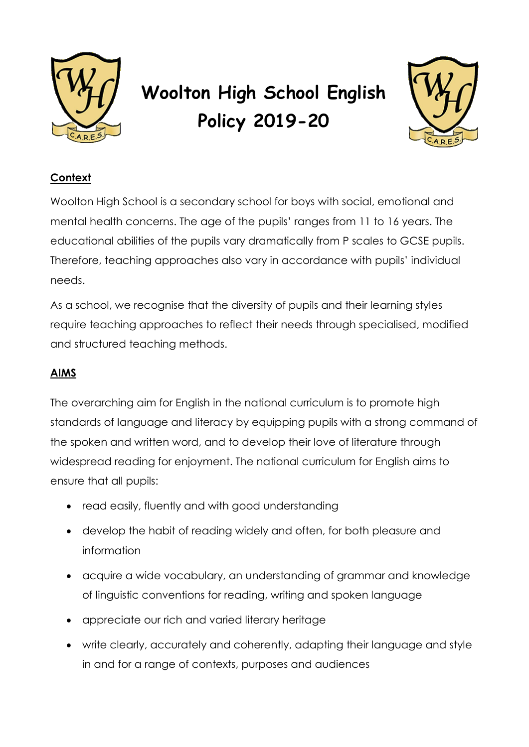

# **Woolton High School English Policy 2019-20**



# **Context**

Woolton High School is a secondary school for boys with social, emotional and mental health concerns. The age of the pupils' ranges from 11 to 16 years. The educational abilities of the pupils vary dramatically from P scales to GCSE pupils. Therefore, teaching approaches also vary in accordance with pupils' individual needs.

As a school, we recognise that the diversity of pupils and their learning styles require teaching approaches to reflect their needs through specialised, modified and structured teaching methods.

# **AIMS**

The overarching aim for English in the national curriculum is to promote high standards of language and literacy by equipping pupils with a strong command of the spoken and written word, and to develop their love of literature through widespread reading for enjoyment. The national curriculum for English aims to ensure that all pupils:

- read easily, fluently and with good understanding
- develop the habit of reading widely and often, for both pleasure and information
- acquire a wide vocabulary, an understanding of grammar and knowledge of linguistic conventions for reading, writing and spoken language
- appreciate our rich and varied literary heritage
- write clearly, accurately and coherently, adapting their language and style in and for a range of contexts, purposes and audiences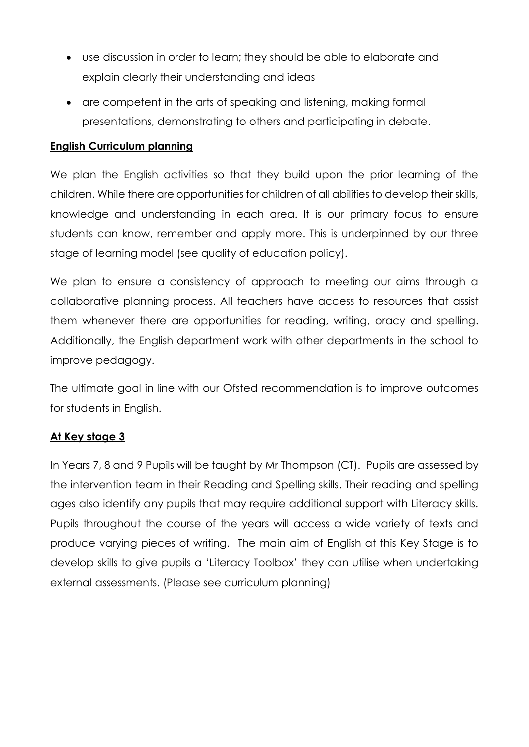- use discussion in order to learn; they should be able to elaborate and explain clearly their understanding and ideas
- are competent in the arts of speaking and listening, making formal presentations, demonstrating to others and participating in debate.

#### **English Curriculum planning**

We plan the English activities so that they build upon the prior learning of the children. While there are opportunities for children of all abilities to develop their skills, knowledge and understanding in each area. It is our primary focus to ensure students can know, remember and apply more. This is underpinned by our three stage of learning model (see quality of education policy).

We plan to ensure a consistency of approach to meeting our aims through a collaborative planning process. All teachers have access to resources that assist them whenever there are opportunities for reading, writing, oracy and spelling. Additionally, the English department work with other departments in the school to improve pedagogy.

The ultimate goal in line with our Ofsted recommendation is to improve outcomes for students in English.

# **At Key stage 3**

In Years 7, 8 and 9 Pupils will be taught by Mr Thompson (CT). Pupils are assessed by the intervention team in their Reading and Spelling skills. Their reading and spelling ages also identify any pupils that may require additional support with Literacy skills. Pupils throughout the course of the years will access a wide variety of texts and produce varying pieces of writing. The main aim of English at this Key Stage is to develop skills to give pupils a 'Literacy Toolbox' they can utilise when undertaking external assessments. (Please see curriculum planning)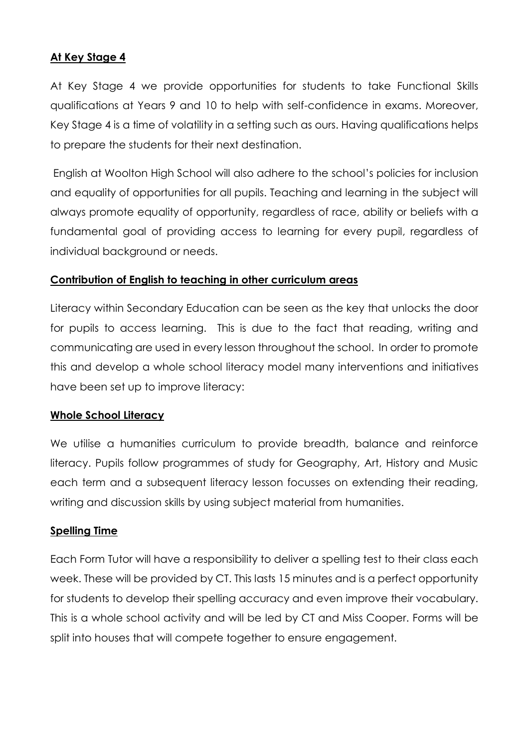## **At Key Stage 4**

At Key Stage 4 we provide opportunities for students to take Functional Skills qualifications at Years 9 and 10 to help with self-confidence in exams. Moreover, Key Stage 4 is a time of volatility in a setting such as ours. Having qualifications helps to prepare the students for their next destination.

English at Woolton High School will also adhere to the school's policies for inclusion and equality of opportunities for all pupils. Teaching and learning in the subject will always promote equality of opportunity, regardless of race, ability or beliefs with a fundamental goal of providing access to learning for every pupil, regardless of individual background or needs.

#### **Contribution of English to teaching in other curriculum areas**

Literacy within Secondary Education can be seen as the key that unlocks the door for pupils to access learning. This is due to the fact that reading, writing and communicating are used in every lesson throughout the school. In order to promote this and develop a whole school literacy model many interventions and initiatives have been set up to improve literacy:

#### **Whole School Literacy**

We utilise a humanities curriculum to provide breadth, balance and reinforce literacy. Pupils follow programmes of study for Geography, Art, History and Music each term and a subsequent literacy lesson focusses on extending their reading, writing and discussion skills by using subject material from humanities.

#### **Spelling Time**

Each Form Tutor will have a responsibility to deliver a spelling test to their class each week. These will be provided by CT. This lasts 15 minutes and is a perfect opportunity for students to develop their spelling accuracy and even improve their vocabulary. This is a whole school activity and will be led by CT and Miss Cooper. Forms will be split into houses that will compete together to ensure engagement.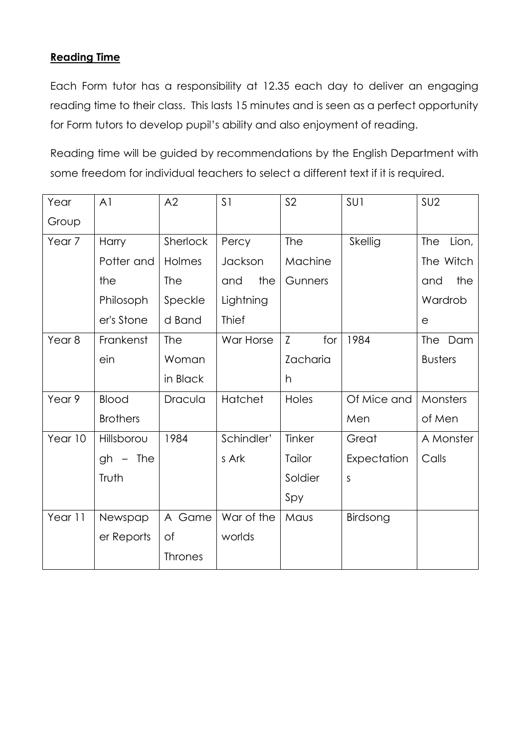# **Reading Time**

Each Form tutor has a responsibility at 12.35 each day to deliver an engaging reading time to their class. This lasts 15 minutes and is seen as a perfect opportunity for Form tutors to develop pupil's ability and also enjoyment of reading.

Reading time will be guided by recommendations by the English Department with some freedom for individual teachers to select a different text if it is required.

| Year              | A <sub>1</sub>   | A2              | S <sub>1</sub> | S <sub>2</sub> | SU1         | SU <sub>2</sub> |
|-------------------|------------------|-----------------|----------------|----------------|-------------|-----------------|
| Group             |                  |                 |                |                |             |                 |
| Year <sub>7</sub> | Harry            | <b>Sherlock</b> | Percy          | <b>The</b>     | Skellig     | Lion,<br>The    |
|                   | Potter and       | Holmes          | Jackson        | Machine        |             | The Witch       |
|                   | the              | The             | the<br>and     | Gunners        |             | the<br>and      |
|                   | Philosoph        | Speckle         | Lightning      |                |             | Wardrob         |
|                   | er's Stone       | d Band          | <b>Thief</b>   |                |             | е               |
| Year <sub>8</sub> | Frankenst        | The             | War Horse      | Z<br>for       | 1984        | The Dam         |
|                   | ein              | Woman           |                | Zacharia       |             | <b>Busters</b>  |
|                   |                  | in Black        |                | h              |             |                 |
| Year 9            | Blood            | Dracula         | Hatchet        | Holes          | Of Mice and | Monsters        |
|                   | <b>Brothers</b>  |                 |                |                | Men         | of Men          |
| Year 10           | Hillsborou       | 1984            | Schindler'     | Tinker         | Great       | A Monster       |
|                   | <b>The</b><br>gh |                 | s Ark          | Tailor         | Expectation | Calls           |
|                   | Truth            |                 |                | Soldier        | S           |                 |
|                   |                  |                 |                | Spy            |             |                 |
| Year 11           | Newspap          | Game<br>A       | War of the     | Maus           | Birdsong    |                 |
|                   | er Reports       | <b>of</b>       | worlds         |                |             |                 |
|                   |                  | <b>Thrones</b>  |                |                |             |                 |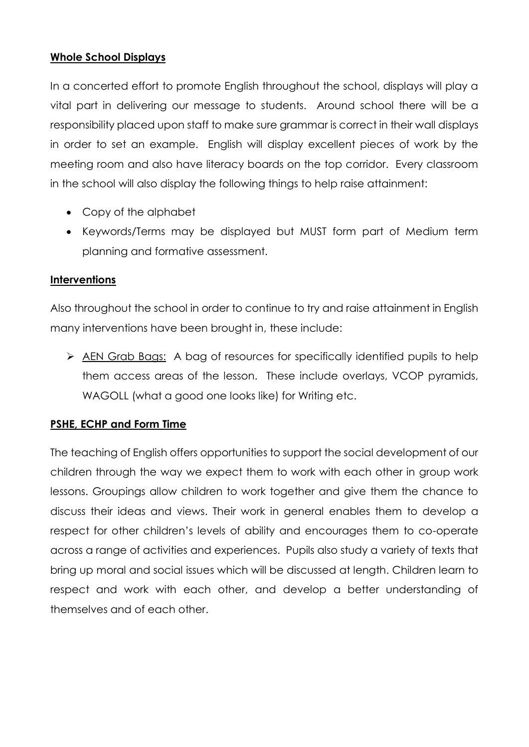# **Whole School Displays**

In a concerted effort to promote English throughout the school, displays will play a vital part in delivering our message to students. Around school there will be a responsibility placed upon staff to make sure grammar is correct in their wall displays in order to set an example. English will display excellent pieces of work by the meeting room and also have literacy boards on the top corridor. Every classroom in the school will also display the following things to help raise attainment:

- Copy of the alphabet
- Keywords/Terms may be displayed but MUST form part of Medium term planning and formative assessment.

#### **Interventions**

Also throughout the school in order to continue to try and raise attainment in English many interventions have been brought in, these include:

 AEN Grab Bags: A bag of resources for specifically identified pupils to help them access areas of the lesson. These include overlays, VCOP pyramids, WAGOLL (what a good one looks like) for Writing etc.

# **PSHE, ECHP and Form Time**

The teaching of English offers opportunities to support the social development of our children through the way we expect them to work with each other in group work lessons. Groupings allow children to work together and give them the chance to discuss their ideas and views. Their work in general enables them to develop a respect for other children's levels of ability and encourages them to co-operate across a range of activities and experiences. Pupils also study a variety of texts that bring up moral and social issues which will be discussed at length. Children learn to respect and work with each other, and develop a better understanding of themselves and of each other.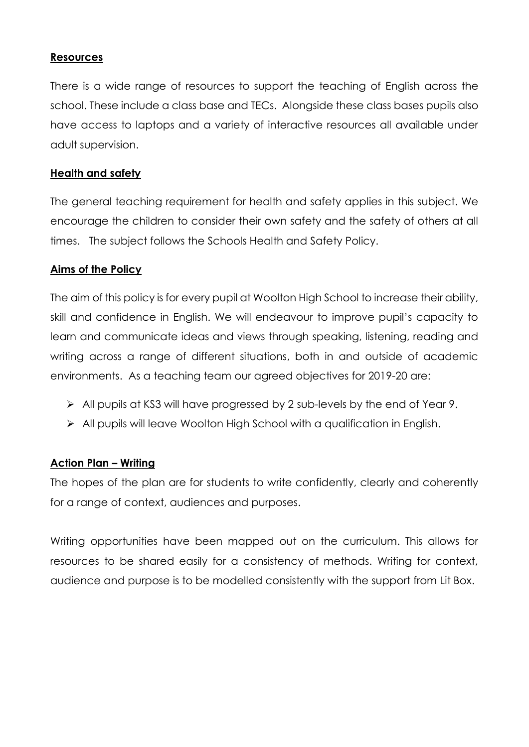#### **Resources**

There is a wide range of resources to support the teaching of English across the school. These include a class base and TECs. Alongside these class bases pupils also have access to laptops and a variety of interactive resources all available under adult supervision.

#### **Health and safety**

The general teaching requirement for health and safety applies in this subject. We encourage the children to consider their own safety and the safety of others at all times. The subject follows the Schools Health and Safety Policy.

#### **Aims of the Policy**

The aim of this policy is for every pupil at Woolton High School to increase their ability, skill and confidence in English. We will endeavour to improve pupil's capacity to learn and communicate ideas and views through speaking, listening, reading and writing across a range of different situations, both in and outside of academic environments. As a teaching team our agreed objectives for 2019-20 are:

- All pupils at KS3 will have progressed by 2 sub-levels by the end of Year 9.
- > All pupils will leave Woolton High School with a qualification in English.

#### **Action Plan – Writing**

The hopes of the plan are for students to write confidently, clearly and coherently for a range of context, audiences and purposes.

Writing opportunities have been mapped out on the curriculum. This allows for resources to be shared easily for a consistency of methods. Writing for context, audience and purpose is to be modelled consistently with the support from Lit Box.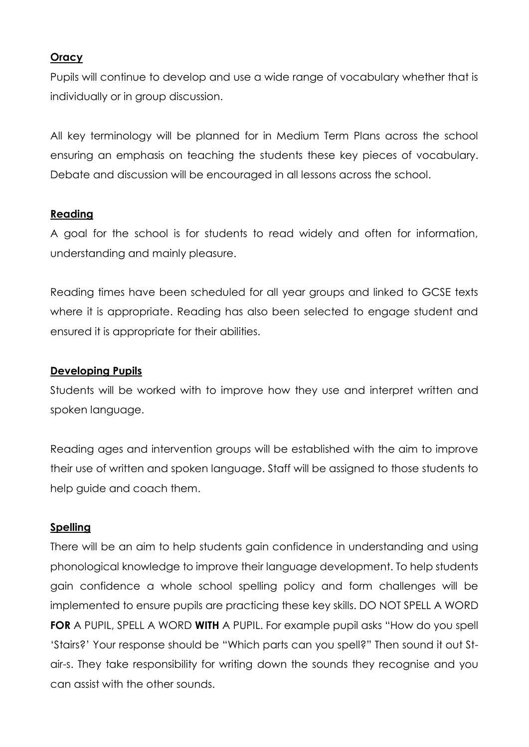## **Oracy**

Pupils will continue to develop and use a wide range of vocabulary whether that is individually or in group discussion.

All key terminology will be planned for in Medium Term Plans across the school ensuring an emphasis on teaching the students these key pieces of vocabulary. Debate and discussion will be encouraged in all lessons across the school.

#### **Reading**

A goal for the school is for students to read widely and often for information, understanding and mainly pleasure.

Reading times have been scheduled for all year groups and linked to GCSE texts where it is appropriate. Reading has also been selected to engage student and ensured it is appropriate for their abilities.

#### **Developing Pupils**

Students will be worked with to improve how they use and interpret written and spoken language.

Reading ages and intervention groups will be established with the aim to improve their use of written and spoken language. Staff will be assigned to those students to help guide and coach them.

#### **Spelling**

There will be an aim to help students gain confidence in understanding and using phonological knowledge to improve their language development. To help students gain confidence a whole school spelling policy and form challenges will be implemented to ensure pupils are practicing these key skills. DO NOT SPELL A WORD **FOR** A PUPIL, SPELL A WORD **WITH** A PUPIL. For example pupil asks "How do you spell 'Stairs?' Your response should be "Which parts can you spell?" Then sound it out Stair-s. They take responsibility for writing down the sounds they recognise and you can assist with the other sounds.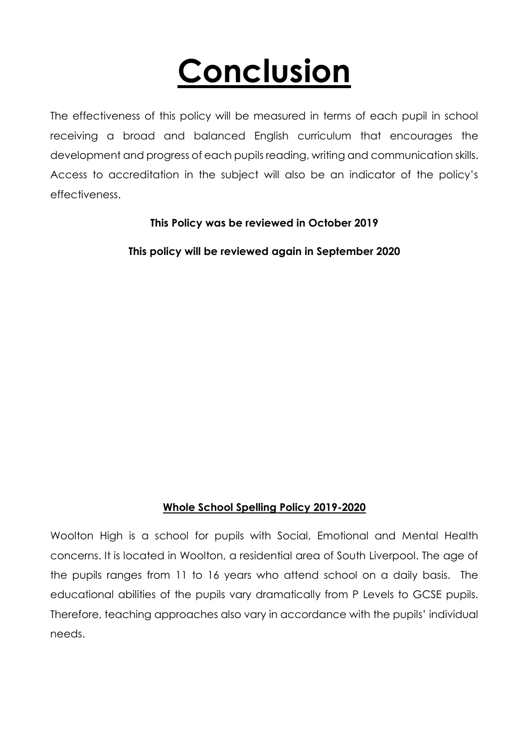# **Conclusion**

The effectiveness of this policy will be measured in terms of each pupil in school receiving a broad and balanced English curriculum that encourages the development and progress of each pupils reading, writing and communication skills. Access to accreditation in the subject will also be an indicator of the policy's effectiveness.

**This Policy was be reviewed in October 2019**

**This policy will be reviewed again in September 2020**

# **Whole School Spelling Policy 2019-2020**

Woolton High is a school for pupils with Social, Emotional and Mental Health concerns. It is located in Woolton, a residential area of South Liverpool. The age of the pupils ranges from 11 to 16 years who attend school on a daily basis. The educational abilities of the pupils vary dramatically from P Levels to GCSE pupils. Therefore, teaching approaches also vary in accordance with the pupils' individual needs.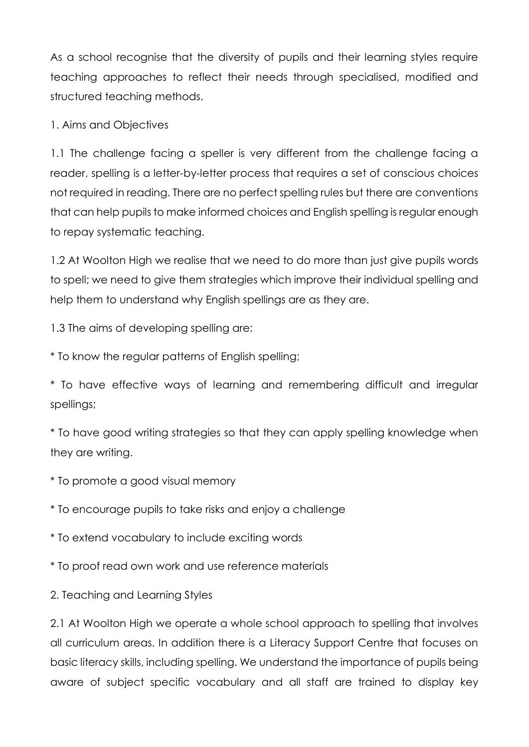As a school recognise that the diversity of pupils and their learning styles require teaching approaches to reflect their needs through specialised, modified and structured teaching methods.

# 1. Aims and Objectives

1.1 The challenge facing a speller is very different from the challenge facing a reader, spelling is a letter-by-letter process that requires a set of conscious choices not required in reading. There are no perfect spelling rules but there are conventions that can help pupils to make informed choices and English spelling is regular enough to repay systematic teaching.

1.2 At Woolton High we realise that we need to do more than just give pupils words to spell; we need to give them strategies which improve their individual spelling and help them to understand why English spellings are as they are.

1.3 The aims of developing spelling are:

\* To know the regular patterns of English spelling;

\* To have effective ways of learning and remembering difficult and irregular spellings;

\* To have good writing strategies so that they can apply spelling knowledge when they are writing.

\* To promote a good visual memory

\* To encourage pupils to take risks and enjoy a challenge

\* To extend vocabulary to include exciting words

\* To proof read own work and use reference materials

2. Teaching and Learning Styles

2.1 At Woolton High we operate a whole school approach to spelling that involves all curriculum areas. In addition there is a Literacy Support Centre that focuses on basic literacy skills, including spelling. We understand the importance of pupils being aware of subject specific vocabulary and all staff are trained to display key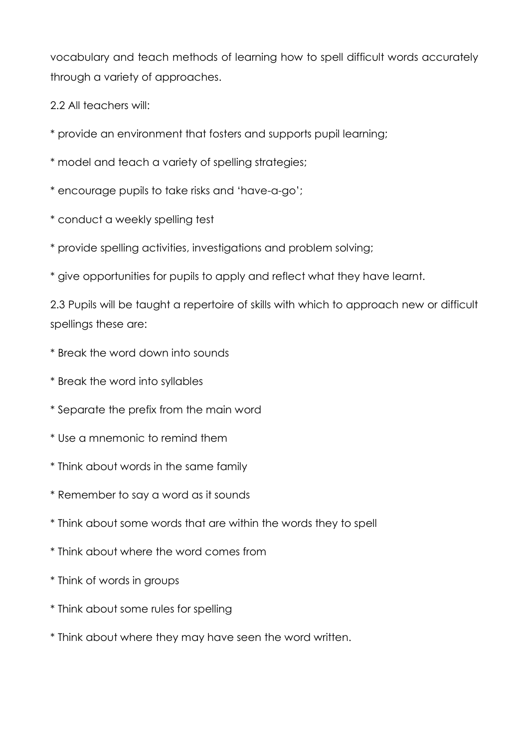vocabulary and teach methods of learning how to spell difficult words accurately through a variety of approaches.

2.2 All teachers will:

- \* provide an environment that fosters and supports pupil learning;
- \* model and teach a variety of spelling strategies;
- \* encourage pupils to take risks and 'have-a-go';
- \* conduct a weekly spelling test
- \* provide spelling activities, investigations and problem solving;
- \* give opportunities for pupils to apply and reflect what they have learnt.

2.3 Pupils will be taught a repertoire of skills with which to approach new or difficult spellings these are:

- \* Break the word down into sounds
- \* Break the word into syllables
- \* Separate the prefix from the main word
- \* Use a mnemonic to remind them
- \* Think about words in the same family
- \* Remember to say a word as it sounds
- \* Think about some words that are within the words they to spell
- \* Think about where the word comes from
- \* Think of words in groups
- \* Think about some rules for spelling
- \* Think about where they may have seen the word written.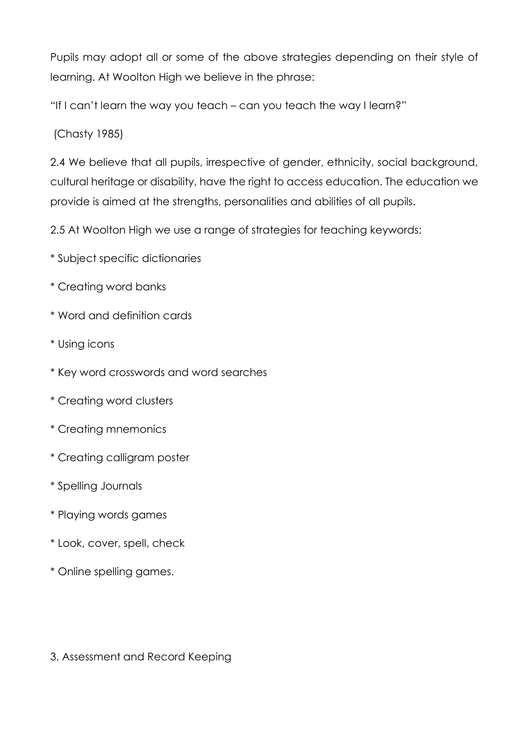Pupils may adopt all or some of the above strategies depending on their style of learning. At Woolton High we believe in the phrase:

"If I can't learn the way you teach – can you teach the way I learn?"

(Chasty 1985)

2.4 We believe that all pupils, irrespective of gender, ethnicity, social background, cultural heritage or disability, have the right to access education. The education we provide is aimed at the strengths, personalities and abilities of all pupils.

2.5 At Woolton High we use a range of strategies for teaching keywords:

- \* Subject specific dictionaries
- \* Creating word banks
- \* Word and definition cards
- \* Using icons
- \* Key word crosswords and word searches
- \* Creating word clusters
- \* Creating mnemonics
- \* Creating calligram poster
- \* Spelling Journals
- \* Playing words games
- \* Look, cover, spell, check
- \* Online spelling games.

3. Assessment and Record Keeping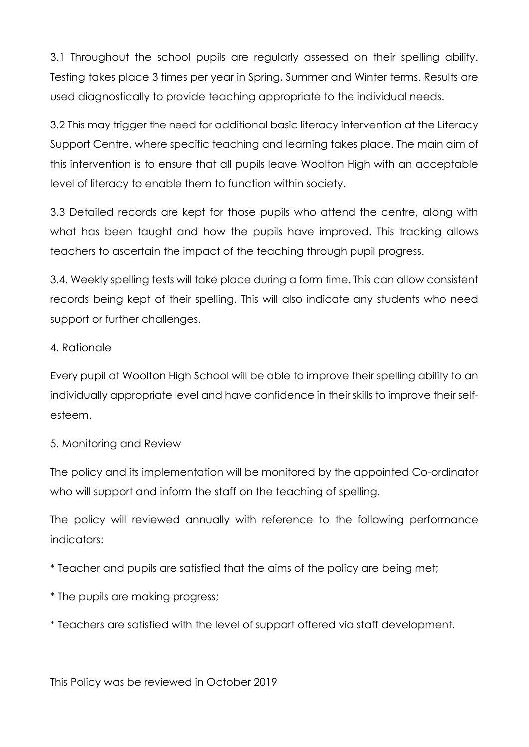3.1 Throughout the school pupils are regularly assessed on their spelling ability. Testing takes place 3 times per year in Spring, Summer and Winter terms. Results are used diagnostically to provide teaching appropriate to the individual needs.

3.2 This may trigger the need for additional basic literacy intervention at the Literacy Support Centre, where specific teaching and learning takes place. The main aim of this intervention is to ensure that all pupils leave Woolton High with an acceptable level of literacy to enable them to function within society.

3.3 Detailed records are kept for those pupils who attend the centre, along with what has been taught and how the pupils have improved. This tracking allows teachers to ascertain the impact of the teaching through pupil progress.

3.4. Weekly spelling tests will take place during a form time. This can allow consistent records being kept of their spelling. This will also indicate any students who need support or further challenges.

#### 4. Rationale

Every pupil at Woolton High School will be able to improve their spelling ability to an individually appropriate level and have confidence in their skills to improve their selfesteem.

# 5. Monitoring and Review

The policy and its implementation will be monitored by the appointed Co-ordinator who will support and inform the staff on the teaching of spelling.

The policy will reviewed annually with reference to the following performance indicators:

\* Teacher and pupils are satisfied that the aims of the policy are being met;

- \* The pupils are making progress;
- \* Teachers are satisfied with the level of support offered via staff development.

This Policy was be reviewed in October 2019